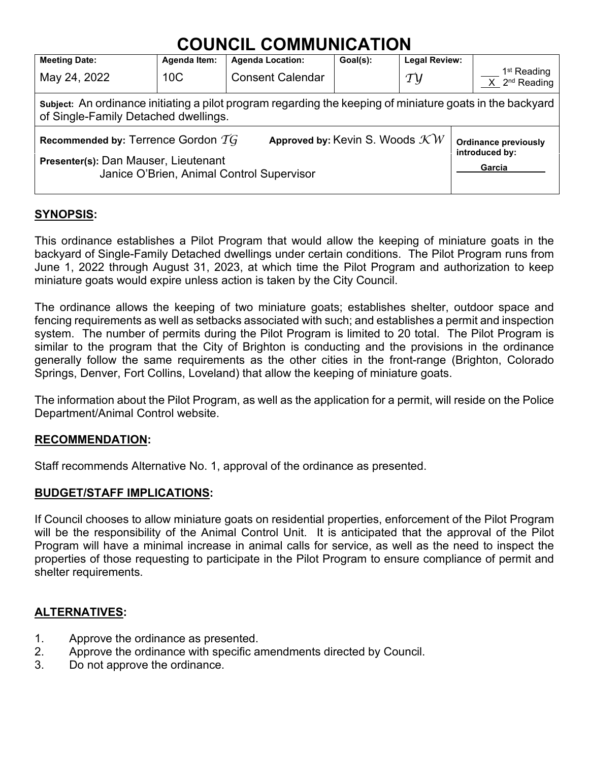# **COUNCIL COMMUNICATION**

| <b>Meeting Date:</b>                                                                                                                              | <b>Agenda Item:</b> | <b>Agenda Location:</b> | Goal(s): | <b>Legal Review:</b> |                                                        |  |
|---------------------------------------------------------------------------------------------------------------------------------------------------|---------------------|-------------------------|----------|----------------------|--------------------------------------------------------|--|
| May 24, 2022                                                                                                                                      | 10 <sup>C</sup>     | <b>Consent Calendar</b> |          | $\tau y$             | 1 <sup>st</sup> Reading<br>$X$ 2 <sup>nd</sup> Reading |  |
| Subject: An ordinance initiating a pilot program regarding the keeping of miniature goats in the backyard<br>of Single-Family Detached dwellings. |                     |                         |          |                      |                                                        |  |
| Approved by: Kevin S. Woods $\mathcal{K}W$<br>Recommended by: Terrence Gordon $\widetilde{TG}$                                                    |                     |                         |          |                      | <b>Ordinance previously</b><br>introduced by:          |  |
| Presenter(s): Dan Mauser, Lieutenant<br>Janice O'Brien, Animal Control Supervisor                                                                 |                     |                         |          |                      | Garcia                                                 |  |

### **SYNOPSIS:**

This ordinance establishes a Pilot Program that would allow the keeping of miniature goats in the backyard of Single-Family Detached dwellings under certain conditions. The Pilot Program runs from June 1, 2022 through August 31, 2023, at which time the Pilot Program and authorization to keep miniature goats would expire unless action is taken by the City Council.

The ordinance allows the keeping of two miniature goats; establishes shelter, outdoor space and fencing requirements as well as setbacks associated with such; and establishes a permit and inspection system. The number of permits during the Pilot Program is limited to 20 total. The Pilot Program is similar to the program that the City of Brighton is conducting and the provisions in the ordinance generally follow the same requirements as the other cities in the front-range (Brighton, Colorado Springs, Denver, Fort Collins, Loveland) that allow the keeping of miniature goats.

The information about the Pilot Program, as well as the application for a permit, will reside on the Police Department/Animal Control website.

#### **RECOMMENDATION:**

Staff recommends Alternative No. 1, approval of the ordinance as presented.

#### **BUDGET/STAFF IMPLICATIONS:**

If Council chooses to allow miniature goats on residential properties, enforcement of the Pilot Program will be the responsibility of the Animal Control Unit. It is anticipated that the approval of the Pilot Program will have a minimal increase in animal calls for service, as well as the need to inspect the properties of those requesting to participate in the Pilot Program to ensure compliance of permit and shelter requirements.

## **ALTERNATIVES:**

- 1. Approve the ordinance as presented.
- 2. Approve the ordinance with specific amendments directed by Council.
- 3. Do not approve the ordinance.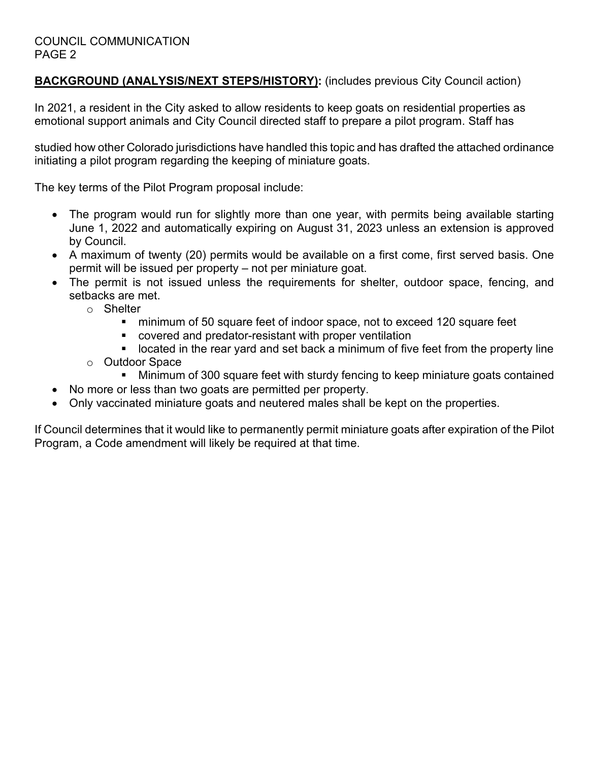## **BACKGROUND (ANALYSIS/NEXT STEPS/HISTORY):** (includes previous City Council action)

In 2021, a resident in the City asked to allow residents to keep goats on residential properties as emotional support animals and City Council directed staff to prepare a pilot program. Staff has

studied how other Colorado jurisdictions have handled this topic and has drafted the attached ordinance initiating a pilot program regarding the keeping of miniature goats.

The key terms of the Pilot Program proposal include:

- The program would run for slightly more than one year, with permits being available starting June 1, 2022 and automatically expiring on August 31, 2023 unless an extension is approved by Council.
- A maximum of twenty (20) permits would be available on a first come, first served basis. One permit will be issued per property – not per miniature goat.
- The permit is not issued unless the requirements for shelter, outdoor space, fencing, and setbacks are met.
	- o Shelter
		- minimum of 50 square feet of indoor space, not to exceed 120 square feet
		- covered and predator-resistant with proper ventilation
		- located in the rear yard and set back a minimum of five feet from the property line
	- o Outdoor Space<br>Minimum
		- Minimum of 300 square feet with sturdy fencing to keep miniature goats contained
- No more or less than two goats are permitted per property.
- Only vaccinated miniature goats and neutered males shall be kept on the properties.

If Council determines that it would like to permanently permit miniature goats after expiration of the Pilot Program, a Code amendment will likely be required at that time.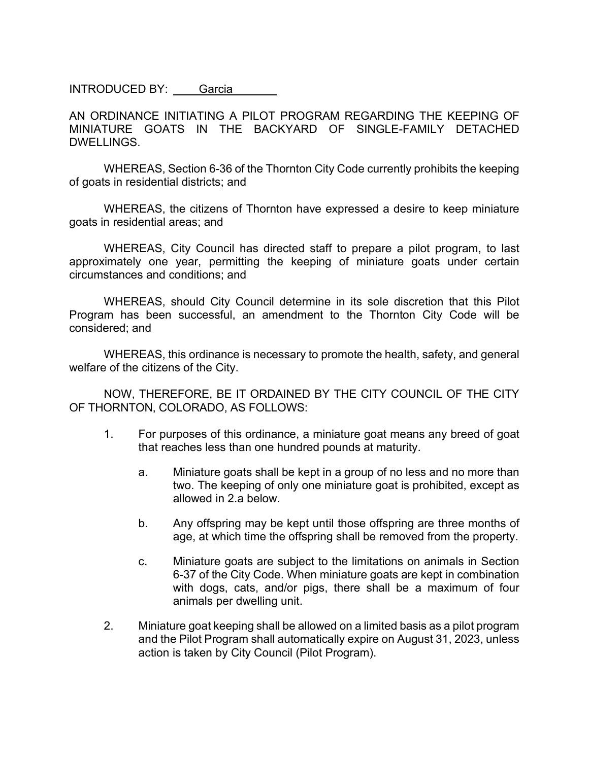INTRODUCED BY: Garcia

AN ORDINANCE INITIATING A PILOT PROGRAM REGARDING THE KEEPING OF MINIATURE GOATS IN THE BACKYARD OF SINGLE-FAMILY DETACHED DWELLINGS.

WHEREAS, Section 6-36 of the Thornton City Code currently prohibits the keeping of goats in residential districts; and

WHEREAS, the citizens of Thornton have expressed a desire to keep miniature goats in residential areas; and

WHEREAS, City Council has directed staff to prepare a pilot program, to last approximately one year, permitting the keeping of miniature goats under certain circumstances and conditions; and

WHEREAS, should City Council determine in its sole discretion that this Pilot Program has been successful, an amendment to the Thornton City Code will be considered; and

WHEREAS, this ordinance is necessary to promote the health, safety, and general welfare of the citizens of the City.

NOW, THEREFORE, BE IT ORDAINED BY THE CITY COUNCIL OF THE CITY OF THORNTON, COLORADO, AS FOLLOWS:

- 1. For purposes of this ordinance, a miniature goat means any breed of goat that reaches less than one hundred pounds at maturity.
	- a. Miniature goats shall be kept in a group of no less and no more than two. The keeping of only one miniature goat is prohibited, except as allowed in 2.a below.
	- b. Any offspring may be kept until those offspring are three months of age, at which time the offspring shall be removed from the property.
	- c. Miniature goats are subject to the limitations on animals in Section 6-37 of the City Code. When miniature goats are kept in combination with dogs, cats, and/or pigs, there shall be a maximum of four animals per dwelling unit.
- 2. Miniature goat keeping shall be allowed on a limited basis as a pilot program and the Pilot Program shall automatically expire on August 31, 2023, unless action is taken by City Council (Pilot Program).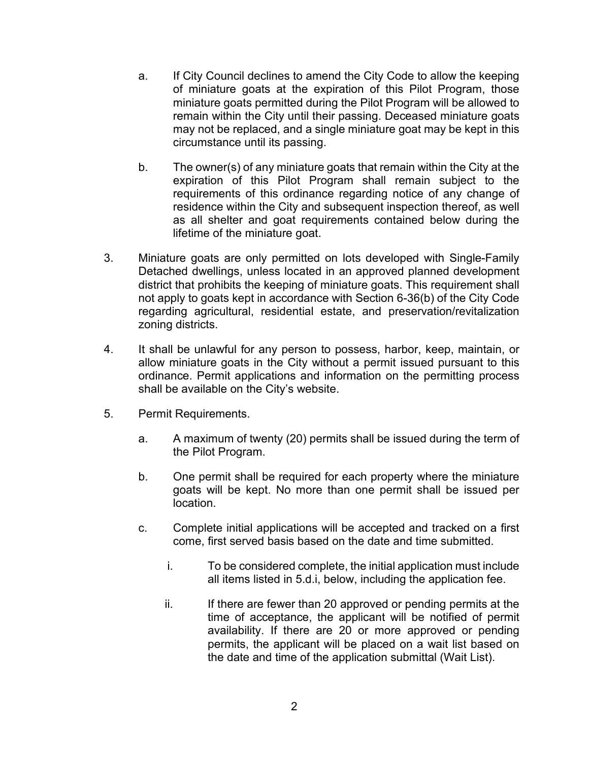- a. If City Council declines to amend the City Code to allow the keeping of miniature goats at the expiration of this Pilot Program, those miniature goats permitted during the Pilot Program will be allowed to remain within the City until their passing. Deceased miniature goats may not be replaced, and a single miniature goat may be kept in this circumstance until its passing.
- b. The owner(s) of any miniature goats that remain within the City at the expiration of this Pilot Program shall remain subject to the requirements of this ordinance regarding notice of any change of residence within the City and subsequent inspection thereof, as well as all shelter and goat requirements contained below during the lifetime of the miniature goat.
- 3. Miniature goats are only permitted on lots developed with Single-Family Detached dwellings, unless located in an approved planned development district that prohibits the keeping of miniature goats. This requirement shall not apply to goats kept in accordance with Section 6-36(b) of the City Code regarding agricultural, residential estate, and preservation/revitalization zoning districts.
- 4. It shall be unlawful for any person to possess, harbor, keep, maintain, or allow miniature goats in the City without a permit issued pursuant to this ordinance. Permit applications and information on the permitting process shall be available on the City's website.
- 5. Permit Requirements.
	- a. A maximum of twenty (20) permits shall be issued during the term of the Pilot Program.
	- b. One permit shall be required for each property where the miniature goats will be kept. No more than one permit shall be issued per location.
	- c. Complete initial applications will be accepted and tracked on a first come, first served basis based on the date and time submitted.
		- i. To be considered complete, the initial application must include all items listed in 5.d.i, below, including the application fee.
		- ii. If there are fewer than 20 approved or pending permits at the time of acceptance, the applicant will be notified of permit availability. If there are 20 or more approved or pending permits, the applicant will be placed on a wait list based on the date and time of the application submittal (Wait List).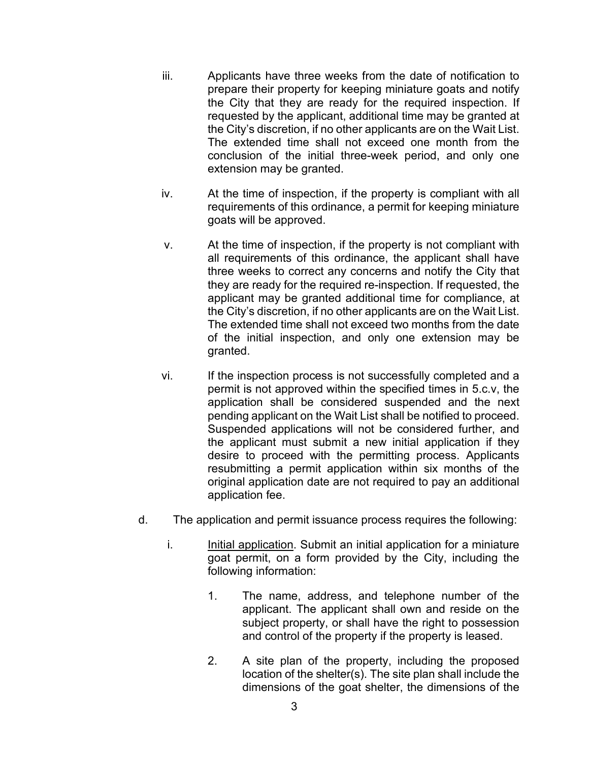- iii. Applicants have three weeks from the date of notification to prepare their property for keeping miniature goats and notify the City that they are ready for the required inspection. If requested by the applicant, additional time may be granted at the City's discretion, if no other applicants are on the Wait List. The extended time shall not exceed one month from the conclusion of the initial three-week period, and only one extension may be granted.
- iv. At the time of inspection, if the property is compliant with all requirements of this ordinance, a permit for keeping miniature goats will be approved.
- v. At the time of inspection, if the property is not compliant with all requirements of this ordinance, the applicant shall have three weeks to correct any concerns and notify the City that they are ready for the required re-inspection. If requested, the applicant may be granted additional time for compliance, at the City's discretion, if no other applicants are on the Wait List. The extended time shall not exceed two months from the date of the initial inspection, and only one extension may be granted.
- vi. If the inspection process is not successfully completed and a permit is not approved within the specified times in 5.c.v, the application shall be considered suspended and the next pending applicant on the Wait List shall be notified to proceed. Suspended applications will not be considered further, and the applicant must submit a new initial application if they desire to proceed with the permitting process. Applicants resubmitting a permit application within six months of the original application date are not required to pay an additional application fee.
- d. The application and permit issuance process requires the following:
	- i. Initial application. Submit an initial application for a miniature goat permit, on a form provided by the City, including the following information:
		- 1. The name, address, and telephone number of the applicant. The applicant shall own and reside on the subject property, or shall have the right to possession and control of the property if the property is leased.
		- 2. A site plan of the property, including the proposed location of the shelter(s). The site plan shall include the dimensions of the goat shelter, the dimensions of the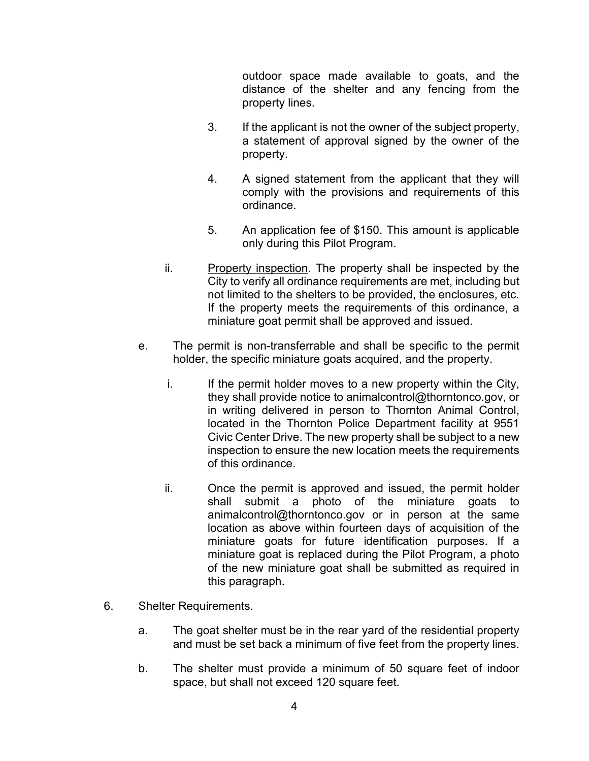outdoor space made available to goats, and the distance of the shelter and any fencing from the property lines.

- 3. If the applicant is not the owner of the subject property, a statement of approval signed by the owner of the property.
- 4. A signed statement from the applicant that they will comply with the provisions and requirements of this ordinance.
- 5. An application fee of \$150. This amount is applicable only during this Pilot Program.
- ii. Property inspection. The property shall be inspected by the City to verify all ordinance requirements are met, including but not limited to the shelters to be provided, the enclosures, etc. If the property meets the requirements of this ordinance, a miniature goat permit shall be approved and issued.
- e. The permit is non-transferrable and shall be specific to the permit holder, the specific miniature goats acquired, and the property.
	- i. If the permit holder moves to a new property within the City, they shall provide notice to animalcontrol@thorntonco.gov, or in writing delivered in person to Thornton Animal Control, located in the Thornton Police Department facility at 9551 Civic Center Drive. The new property shall be subject to a new inspection to ensure the new location meets the requirements of this ordinance.
	- ii. Once the permit is approved and issued, the permit holder shall submit a photo of the miniature goats to animalcontrol@thorntonco.gov or in person at the same location as above within fourteen days of acquisition of the miniature goats for future identification purposes. If a miniature goat is replaced during the Pilot Program, a photo of the new miniature goat shall be submitted as required in this paragraph.
- 6. Shelter Requirements.
	- a. The goat shelter must be in the rear yard of the residential property and must be set back a minimum of five feet from the property lines.
	- b. The shelter must provide a minimum of 50 square feet of indoor space, but shall not exceed 120 square feet.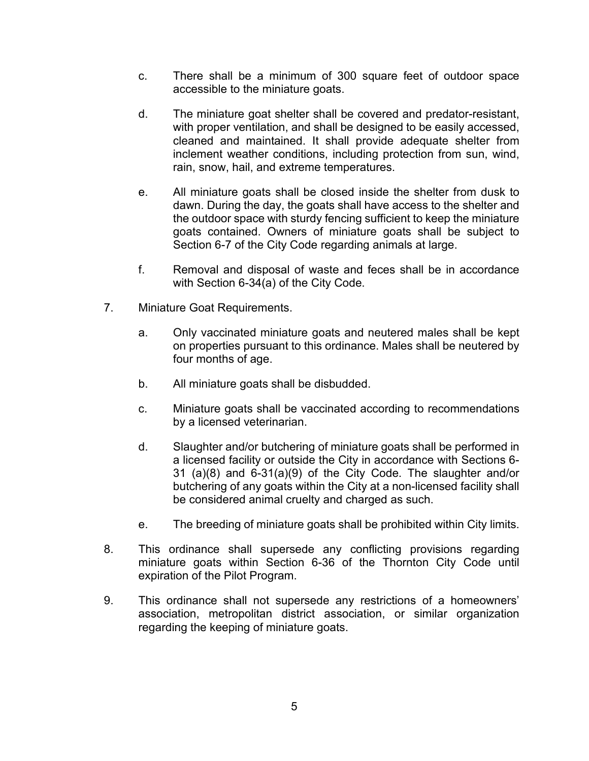- c. There shall be a minimum of 300 square feet of outdoor space accessible to the miniature goats.
- d. The miniature goat shelter shall be covered and predator-resistant, with proper ventilation, and shall be designed to be easily accessed, cleaned and maintained. It shall provide adequate shelter from inclement weather conditions, including protection from sun, wind, rain, snow, hail, and extreme temperatures.
- e. All miniature goats shall be closed inside the shelter from dusk to dawn. During the day, the goats shall have access to the shelter and the outdoor space with sturdy fencing sufficient to keep the miniature goats contained. Owners of miniature goats shall be subject to Section 6-7 of the City Code regarding animals at large.
- f. Removal and disposal of waste and feces shall be in accordance with Section 6-34(a) of the City Code.
- 7. Miniature Goat Requirements.
	- a. Only vaccinated miniature goats and neutered males shall be kept on properties pursuant to this ordinance. Males shall be neutered by four months of age.
	- b. All miniature goats shall be disbudded.
	- c. Miniature goats shall be vaccinated according to recommendations by a licensed veterinarian.
	- d. Slaughter and/or butchering of miniature goats shall be performed in a licensed facility or outside the City in accordance with Sections 6- 31 (a)(8) and 6-31(a)(9) of the City Code. The slaughter and/or butchering of any goats within the City at a non-licensed facility shall be considered animal cruelty and charged as such.
	- e. The breeding of miniature goats shall be prohibited within City limits.
- 8. This ordinance shall supersede any conflicting provisions regarding miniature goats within Section 6-36 of the Thornton City Code until expiration of the Pilot Program.
- 9. This ordinance shall not supersede any restrictions of a homeowners' association, metropolitan district association, or similar organization regarding the keeping of miniature goats.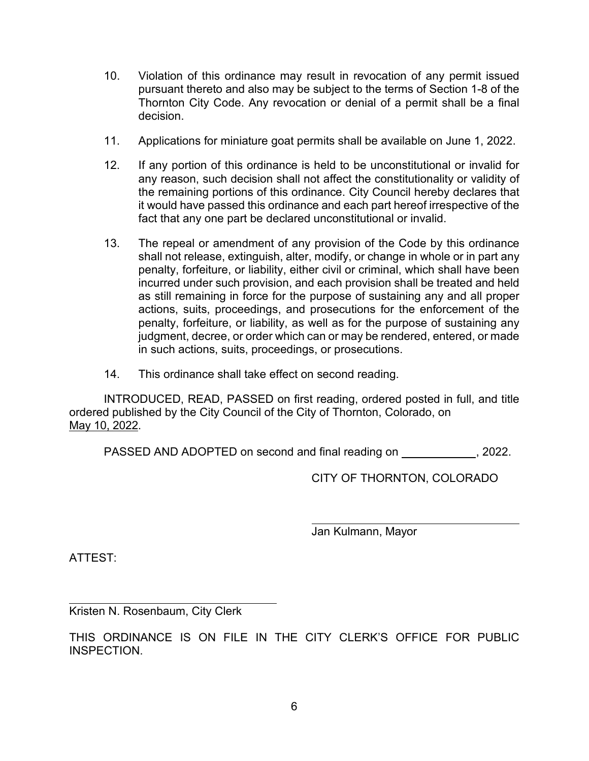- 10. Violation of this ordinance may result in revocation of any permit issued pursuant thereto and also may be subject to the terms of Section 1-8 of the Thornton City Code. Any revocation or denial of a permit shall be a final decision.
- 11. Applications for miniature goat permits shall be available on June 1, 2022.
- 12. If any portion of this ordinance is held to be unconstitutional or invalid for any reason, such decision shall not affect the constitutionality or validity of the remaining portions of this ordinance. City Council hereby declares that it would have passed this ordinance and each part hereof irrespective of the fact that any one part be declared unconstitutional or invalid.
- 13. The repeal or amendment of any provision of the Code by this ordinance shall not release, extinguish, alter, modify, or change in whole or in part any penalty, forfeiture, or liability, either civil or criminal, which shall have been incurred under such provision, and each provision shall be treated and held as still remaining in force for the purpose of sustaining any and all proper actions, suits, proceedings, and prosecutions for the enforcement of the penalty, forfeiture, or liability, as well as for the purpose of sustaining any judgment, decree, or order which can or may be rendered, entered, or made in such actions, suits, proceedings, or prosecutions.
- 14. This ordinance shall take effect on second reading.

INTRODUCED, READ, PASSED on first reading, ordered posted in full, and title ordered published by the City Council of the City of Thornton, Colorado, on May 10, 2022.

PASSED AND ADOPTED on second and final reading on \_\_\_\_\_\_\_\_\_\_\_\_, 2022.

CITY OF THORNTON, COLORADO

Jan Kulmann, Mayor

ATTEST:

Kristen N. Rosenbaum, City Clerk

THIS ORDINANCE IS ON FILE IN THE CITY CLERK'S OFFICE FOR PUBLIC INSPECTION.